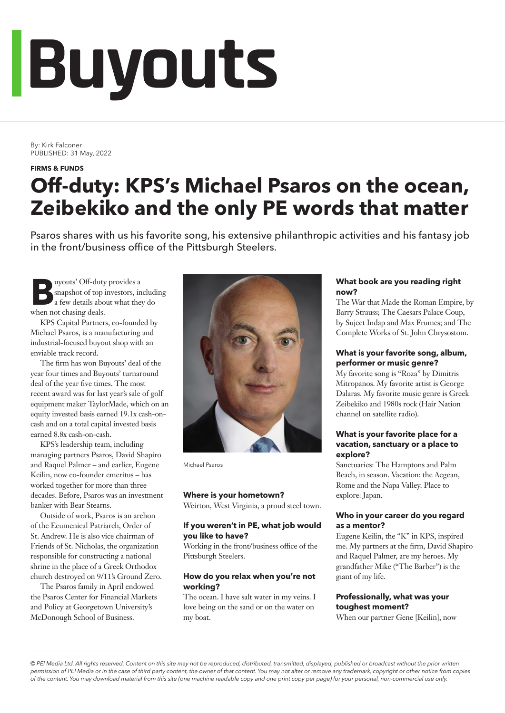# Buyouts

By: Kirk Falconer PUBLISHED: 31 May, 2022

#### **FIRMS & FUNDS**

### **Off-duty: KPS's Michael Psaros on the ocean, Zeibekiko and the only PE words that matter**

Psaros shares with us his favorite song, his extensive philanthropic activities and his fantasy job in the front/business office of the Pittsburgh Steelers.

**Buyouts' Off-duty provides a**<br> **a** few details about what they do snapshot of top investors, including when not chasing deals.

KPS Capital Partners, co-founded by Michael Psaros, is a manufacturing and industrial-focused buyout shop with an enviable track record.

The firm has won Buyouts' deal of the year four times and Buyouts' turnaround deal of the year five times. The most recent award was for last year's sale of golf equipment maker TaylorMade, which on an equity invested basis earned 19.1x cash-oncash and on a total capital invested basis earned 8.8x cash-on-cash.

KPS's leadership team, including managing partners Psaros, David Shapiro and Raquel Palmer – and earlier, Eugene Keilin, now co-founder emeritus – has worked together for more than three decades. Before, Psaros was an investment banker with Bear Stearns.

Outside of work, Psaros is an archon of the Ecumenical Patriarch, Order of St. Andrew. He is also vice chairman of Friends of St. Nicholas, the organization responsible for constructing a national shrine in the place of a Greek Orthodox church destroyed on 9/11's Ground Zero.

The Psaros family in April endowed the Psaros Center for Financial Markets and Policy at Georgetown University's McDonough School of Business.



Michael Psaros

#### **Where is your hometown?**

Weirton, West Virginia, a proud steel town.

#### **If you weren't in PE, what job would you like to have?**

Working in the front/business office of the Pittsburgh Steelers.

#### **How do you relax when you're not working?**

The ocean. I have salt water in my veins. I love being on the sand or on the water on my boat.

#### **What book are you reading right now?**

The War that Made the Roman Empire, by Barry Strauss; The Caesars Palace Coup, by Sujeet Indap and Max Frumes; and The Complete Works of St. John Chrysostom.

#### **What is your favorite song, album, performer or music genre?**

My favorite song is "Roza" by Dimitris Mitropanos. My favorite artist is George Dalaras. My favorite music genre is Greek Zeibekiko and 1980s rock (Hair Nation channel on satellite radio).

#### **What is your favorite place for a vacation, sanctuary or a place to explore?**

Sanctuaries: The Hamptons and Palm Beach, in season. Vacation: the Aegean, Rome and the Napa Valley. Place to explore: Japan.

#### **Who in your career do you regard as a mentor?**

Eugene Keilin, the "K" in KPS, inspired me. My partners at the firm, David Shapiro and Raquel Palmer, are my heroes. My grandfather Mike ("The Barber") is the giant of my life.

#### **Professionally, what was your toughest moment?**

When our partner Gene [Keilin], now

*© PEI Media Ltd. All rights reserved. Content on this site may not be reproduced, distributed, transmitted, displayed, published or broadcast without the prior written permission of PEI Media or in the case of third party content, the owner of that content. You may not alter or remove any trademark, copyright or other notice from copies of the content. You may download material from this site (one machine readable copy and one print copy per page) for your personal, non-commercial use only.*